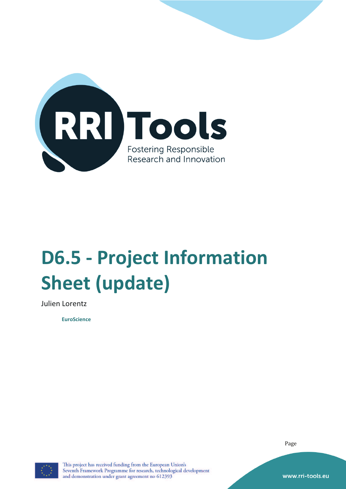

# **D6.5 - Project Information Sheet (update)**

Julien Lorentz

**EuroScience** 

Page



This project has received funding from the European Union's Seventh Framework Programme for research, technological development and demonstration under grant agreement no 612393

www.rri-tools.eu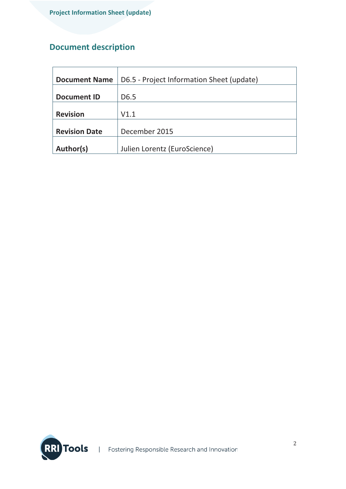## **Document description**

| <b>Document Name</b> | D6.5 - Project Information Sheet (update) |
|----------------------|-------------------------------------------|
|                      |                                           |
| <b>Document ID</b>   | D <sub>6.5</sub>                          |
|                      |                                           |
| <b>Revision</b>      | V1.1                                      |
|                      |                                           |
| <b>Revision Date</b> | December 2015                             |
|                      |                                           |
| Author(s)            | Julien Lorentz (EuroScience)              |

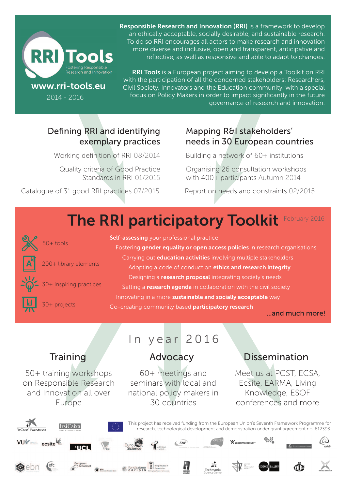

2014 - 2016

Responsible Research and Innovation (RRI) is a framework to develop an ethically acceptable, socially desirable, and sustainable research. To do so RRI encourages all actors to make research and innovation more diverse and inclusive, open and transparent, anticipative and reflective, as well as responsive and able to adapt to changes.

RRI Tools is a European project aiming to develop a Toolkit on RRI with the participation of all the concerned stakeholders: Researchers, Civil Society, Innovators and the Education community, with a special focus on Policy Makers in order to impact significantly in the future governance of research and innovation.

## Defining RRI and identifying exemplary practices

Working definition of RRI 08/2014

Quality criteria of Good Practice Standards in RRI 01/2015

Catalogue of 31 good RRI practices 07/2015

## Mapping R&I stakeholders' needs in 30 European countries

Building a network of 60+ institutions

Organising 26 consultation workshops with 400+ participants Autumn 2014

Report on needs and constraints 02/2015

### The RRI participatory Toolkit February 2016



30+ projects

Self-assessing your professional practice

Fostering gender equality or open access policies in research organisations Carrying out **education activities** involving multiple stakeholders Adopting a code of conduct on ethics and research integrity Designing a research proposal integrating society's needs Setting a research agenda in collaboration with the civil society Innovating in a more sustainable and socially acceptable way Co-creating community based participatory research

...and much more!

30+ inspiring practices

200+ library elements

50+ training workshops on Responsible Research and Innovation all over Europe

## In year 2016

60+ meetings and seminars with local and national policy makers in 30 countries

## Training Advocacy Dissemination

Meet us at PCST, ECSA, Ecsite, EARMA, Living Knowledge, ESOF conferences and more